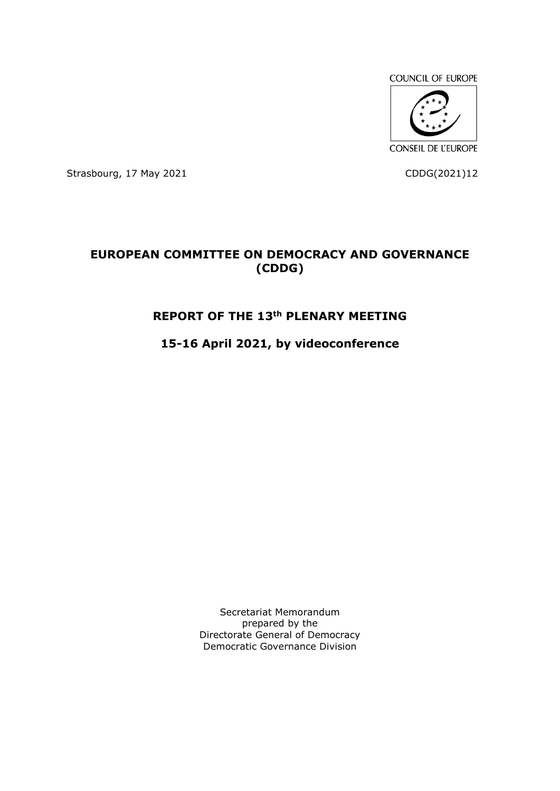

Strasbourg, 17 May 2021 **CDDG**(2021)12

# **EUROPEAN COMMITTEE ON DEMOCRACY AND GOVERNANCE (CDDG)**

# **REPORT OF THE 13th PLENARY MEETING**

# **15-16 April 2021, by videoconference**

Secretariat Memorandum prepared by the Directorate General of Democracy Democratic Governance Division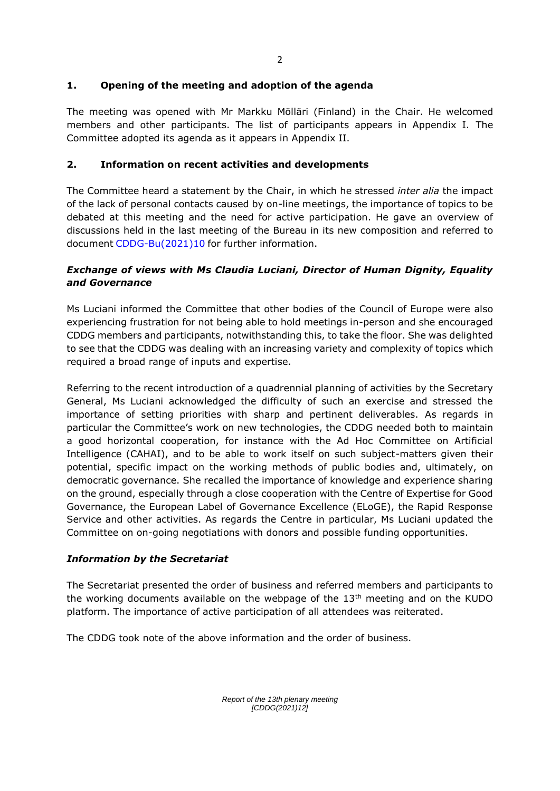# **1. Opening of the meeting and adoption of the agenda**

The meeting was opened with Mr Markku Mölläri (Finland) in the Chair. He welcomed members and other participants. The list of participants appears in Appendix I. The Committee adopted its agenda as it appears in Appendix II.

# **2. Information on recent activities and developments**

The Committee heard a statement by the Chair, in which he stressed *inter alia* the impact of the lack of personal contacts caused by on-line meetings, the importance of topics to be debated at this meeting and the need for active participation. He gave an overview of discussions held in the last meeting of the Bureau in its new composition and referred to document [CDDG-Bu\(2021\)10](https://rm.coe.int/cddg-bu-2021-10e-report-of-bureau-meeting-29-30-march-final-2784-3141-/1680a21739) for further information.

# *Exchange of views with Ms Claudia Luciani, Director of Human Dignity, Equality and Governance*

Ms Luciani informed the Committee that other bodies of the Council of Europe were also experiencing frustration for not being able to hold meetings in-person and she encouraged CDDG members and participants, notwithstanding this, to take the floor. She was delighted to see that the CDDG was dealing with an increasing variety and complexity of topics which required a broad range of inputs and expertise.

Referring to the recent introduction of a quadrennial planning of activities by the Secretary General, Ms Luciani acknowledged the difficulty of such an exercise and stressed the importance of setting priorities with sharp and pertinent deliverables. As regards in particular the Committee's work on new technologies, the CDDG needed both to maintain a good horizontal cooperation, for instance with the Ad Hoc Committee on Artificial Intelligence (CAHAI), and to be able to work itself on such subject-matters given their potential, specific impact on the working methods of public bodies and, ultimately, on democratic governance. She recalled the importance of knowledge and experience sharing on the ground, especially through a close cooperation with the Centre of Expertise for Good Governance, the European Label of Governance Excellence (ELoGE), the Rapid Response Service and other activities. As regards the Centre in particular, Ms Luciani updated the Committee on on-going negotiations with donors and possible funding opportunities.

# *Information by the Secretariat*

The Secretariat presented the order of business and referred members and participants to the working documents available on the webpage of the 13<sup>th</sup> meeting and on the KUDO platform. The importance of active participation of all attendees was reiterated.

The CDDG took note of the above information and the order of business.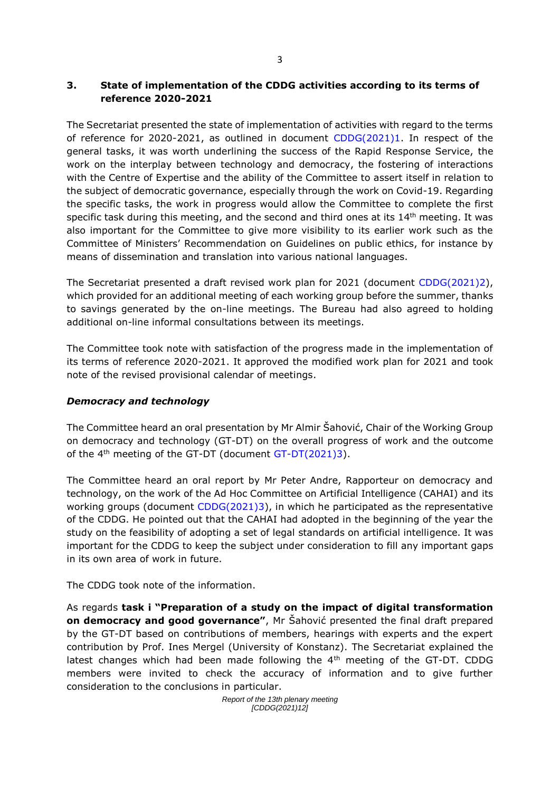# **3. State of implementation of the CDDG activities according to its terms of reference 2020-2021**

The Secretariat presented the state of implementation of activities with regard to the terms of reference for 2020-2021, as outlined in document [CDDG\(2021\)1.](https://rm.coe.int/cddg-2021-1e-progress-of-work-2767-5258-3171-1/1680a207b0) In respect of the general tasks, it was worth underlining the success of the Rapid Response Service, the work on the interplay between technology and democracy, the fostering of interactions with the Centre of Expertise and the ability of the Committee to assert itself in relation to the subject of democratic governance, especially through the work on Covid-19. Regarding the specific tasks, the work in progress would allow the Committee to complete the first specific task during this meeting, and the second and third ones at its 14<sup>th</sup> meeting. It was also important for the Committee to give more visibility to its earlier work such as the Committee of Ministers' Recommendation on Guidelines on public ethics, for instance by means of dissemination and translation into various national languages.

The Secretariat presented a draft revised work plan for 2021 (document [CDDG\(2021\)2\)](file:///E:/CDDG/CDDG%2013/%5bCDDG(2021)2%5d), which provided for an additional meeting of each working group before the summer, thanks to savings generated by the on-line meetings. The Bureau had also agreed to holding additional on-line informal consultations between its meetings.

The Committee took note with satisfaction of the progress made in the implementation of its terms of reference 2020-2021. It approved the modified work plan for 2021 and took note of the revised provisional calendar of meetings.

# *Democracy and technology*

The Committee heard an oral presentation by Mr Almir Šahović, Chair of the Working Group on democracy and technology (GT-DT) on the overall progress of work and the outcome of the  $4<sup>th</sup>$  meeting of the GT-DT (document [GT-DT\(2021\)3\)](https://rm.coe.int/gt-dt-2021-3e-meeting-report-publie-sur-site-2780-7082-6755-v-1/1680a1b23f).

The Committee heard an oral report by Mr Peter Andre, Rapporteur on democracy and technology, on the work of the Ad Hoc Committee on Artificial Intelligence (CAHAI) and its working groups (document [CDDG\(2021\)3\)](https://rm.coe.int/cddg-2021-3e-cahai-2760-3797-8627-1/1680a20744), in which he participated as the representative of the CDDG. He pointed out that the CAHAI had adopted in the beginning of the year the study on the feasibility of adopting a set of legal standards on artificial intelligence. It was important for the CDDG to keep the subject under consideration to fill any important gaps in its own area of work in future.

The CDDG took note of the information.

As regards **task i "Preparation of a study on the impact of digital transformation on democracy and good governance"**, Mr Šahović presented the final draft prepared by the GT-DT based on contributions of members, hearings with experts and the expert contribution by Prof. Ines Mergel (University of Konstanz). The Secretariat explained the latest changes which had been made following the  $4<sup>th</sup>$  meeting of the GT-DT. CDDG members were invited to check the accuracy of information and to give further consideration to the conclusions in particular.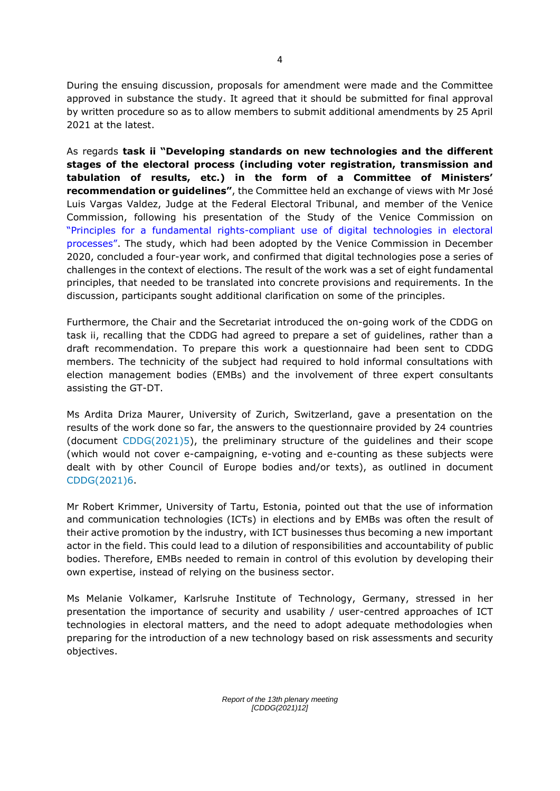During the ensuing discussion, proposals for amendment were made and the Committee approved in substance the study. It agreed that it should be submitted for final approval by written procedure so as to allow members to submit additional amendments by 25 April 2021 at the latest.

As regards **task ii "Developing standards on new technologies and the different stages of the electoral process (including voter registration, transmission and tabulation of results, etc.) in the form of a Committee of Ministers' recommendation or guidelines"**, the Committee held an exchange of views with Mr José Luis Vargas Valdez, Judge at the Federal Electoral Tribunal, and member of the Venice Commission, following his presentation of the Study of the Venice Commission on "Principles for a fundamental rights[-compliant use of digital technologies in electoral](https://www.venice.coe.int/webforms/documents/?pdf=CDL-AD(2020)037-e)  [processes"](https://www.venice.coe.int/webforms/documents/?pdf=CDL-AD(2020)037-e). The study, which had been adopted by the Venice Commission in December 2020, concluded a four-year work, and confirmed that digital technologies pose a series of challenges in the context of elections. The result of the work was a set of eight fundamental principles, that needed to be translated into concrete provisions and requirements. In the discussion, participants sought additional clarification on some of the principles.

Furthermore, the Chair and the Secretariat introduced the on-going work of the CDDG on task ii, recalling that the CDDG had agreed to prepare a set of guidelines, rather than a draft recommendation. To prepare this work a questionnaire had been sent to CDDG members. The technicity of the subject had required to hold informal consultations with election management bodies (EMBs) and the involvement of three expert consultants assisting the GT-DT.

Ms Ardita Driza Maurer, University of Zurich, Switzerland, gave a presentation on the results of the work done so far, the answers to the questionnaire provided by 24 countries (document [CDDG\(2021\)5\)](https://rm.coe.int/cddg-2021-5e-replies-to-questionnaire-on-new-technologies-2787-6853-63/1680a216f1), the preliminary structure of the guidelines and their scope (which would not cover e-campaigning, e-voting and e-counting as these subjects were dealt with by other Council of Europe bodies and/or texts), as outlined in document [CDDG\(2021\)6.](https://rm.coe.int/cddg-2021-6e-draft-guidelines-2785-7527-0659-1/1680a20a32)

Mr Robert Krimmer, University of Tartu, Estonia, pointed out that the use of information and communication technologies (ICTs) in elections and by EMBs was often the result of their active promotion by the industry, with ICT businesses thus becoming a new important actor in the field. This could lead to a dilution of responsibilities and accountability of public bodies. Therefore, EMBs needed to remain in control of this evolution by developing their own expertise, instead of relying on the business sector.

Ms Melanie Volkamer, Karlsruhe Institute of Technology, Germany, stressed in her presentation the importance of security and usability / user-centred approaches of ICT technologies in electoral matters, and the need to adopt adequate methodologies when preparing for the introduction of a new technology based on risk assessments and security objectives.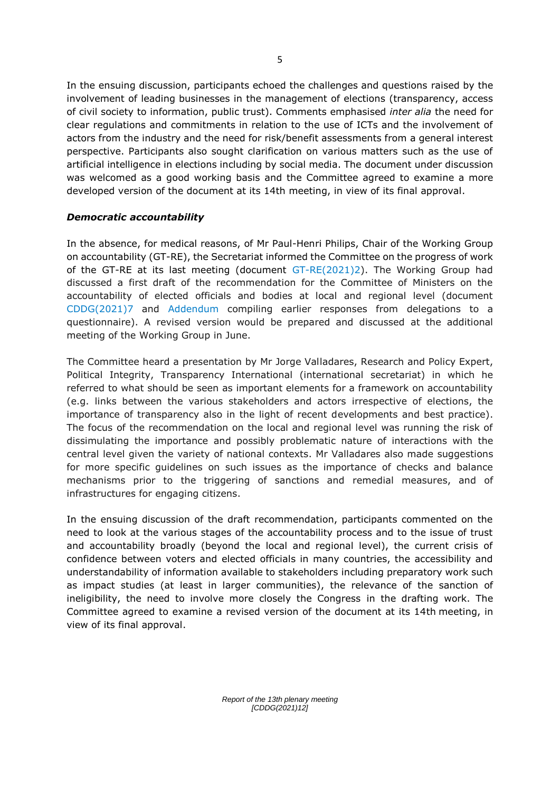In the ensuing discussion, participants echoed the challenges and questions raised by the involvement of leading businesses in the management of elections (transparency, access of civil society to information, public trust). Comments emphasised *inter alia* the need for clear regulations and commitments in relation to the use of ICTs and the involvement of actors from the industry and the need for risk/benefit assessments from a general interest perspective. Participants also sought clarification on various matters such as the use of artificial intelligence in elections including by social media. The document under discussion was welcomed as a good working basis and the Committee agreed to examine a more developed version of the document at its 14th meeting, in view of its final approval.

# *Democratic accountability*

In the absence, for medical reasons, of Mr Paul-Henri Philips, Chair of the Working Group on accountability (GT-RE), the Secretariat informed the Committee on the progress of work of the GT-RE at its last meeting (document [GT-RE\(2021\)2\)](https://rm.coe.int/gt-re-2021-2e-report-3rd-meeting-final-2758-5840-2819-v-1/1680a1dcec). The Working Group had discussed a first draft of the recommendation for the Committee of Ministers on the accountability of elected officials and bodies at local and regional level (document [CDDG\(2021\)7](https://rm.coe.int/cddg-2021-7e-democratic-accountability-2776-1818-2915-1/1680a20a34) and [Addendum](http://rm.coe.int/cddg-2021-7e-addendum-compendium-of-responses-to-questionnaire-on-demo/1680a20a8e) compiling earlier responses from delegations to a questionnaire). A revised version would be prepared and discussed at the additional meeting of the Working Group in June.

The Committee heard a presentation by Mr Jorge Valladares, Research and Policy Expert, Political Integrity, Transparency International (international secretariat) in which he referred to what should be seen as important elements for a framework on accountability (e.g. links between the various stakeholders and actors irrespective of elections, the importance of transparency also in the light of recent developments and best practice). The focus of the recommendation on the local and regional level was running the risk of dissimulating the importance and possibly problematic nature of interactions with the central level given the variety of national contexts. Mr Valladares also made suggestions for more specific guidelines on such issues as the importance of checks and balance mechanisms prior to the triggering of sanctions and remedial measures, and of infrastructures for engaging citizens.

In the ensuing discussion of the draft recommendation, participants commented on the need to look at the various stages of the accountability process and to the issue of trust and accountability broadly (beyond the local and regional level), the current crisis of confidence between voters and elected officials in many countries, the accessibility and understandability of information available to stakeholders including preparatory work such as impact studies (at least in larger communities), the relevance of the sanction of ineligibility, the need to involve more closely the Congress in the drafting work. The Committee agreed to examine a revised version of the document at its 14th meeting, in view of its final approval.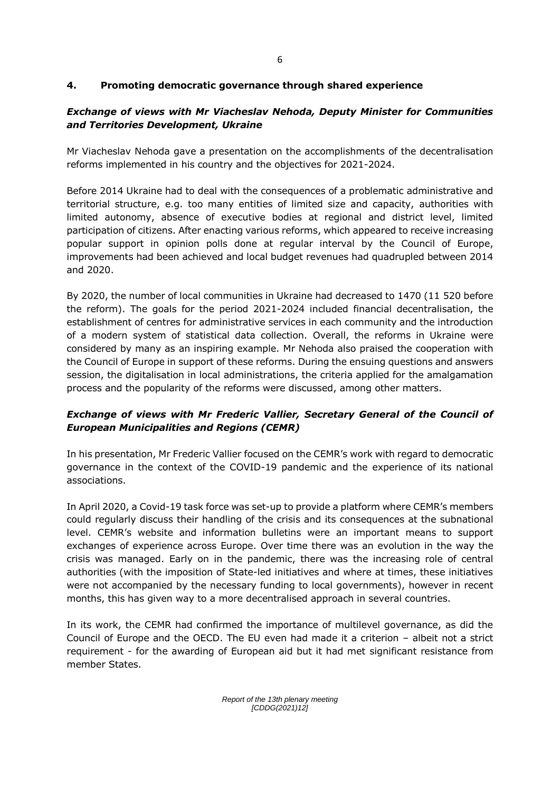# **4. Promoting democratic governance through shared experience**

# *Exchange of views with Mr Viacheslav Nehoda, Deputy Minister for Communities and Territories Development, Ukraine*

Mr Viacheslav Nehoda gave a presentation on the accomplishments of the decentralisation reforms implemented in his country and the objectives for 2021-2024.

Before 2014 Ukraine had to deal with the consequences of a problematic administrative and territorial structure, e.g. too many entities of limited size and capacity, authorities with limited autonomy, absence of executive bodies at regional and district level, limited participation of citizens. After enacting various reforms, which appeared to receive increasing popular support in opinion polls done at regular interval by the Council of Europe, improvements had been achieved and local budget revenues had quadrupled between 2014 and 2020.

By 2020, the number of local communities in Ukraine had decreased to 1470 (11 520 before the reform). The goals for the period 2021-2024 included financial decentralisation, the establishment of centres for administrative services in each community and the introduction of a modern system of statistical data collection. Overall, the reforms in Ukraine were considered by many as an inspiring example. Mr Nehoda also praised the cooperation with the Council of Europe in support of these reforms. During the ensuing questions and answers session, the digitalisation in local administrations, the criteria applied for the amalgamation process and the popularity of the reforms were discussed, among other matters.

# *Exchange of views with Mr Frederic Vallier, Secretary General of the Council of European Municipalities and Regions (CEMR)*

In his presentation, Mr Frederic Vallier focused on the CEMR's work with regard to democratic governance in the context of the COVID-19 pandemic and the experience of its national associations.

In April 2020, a Covid-19 task force was set-up to provide a platform where CEMR's members could regularly discuss their handling of the crisis and its consequences at the subnational level. CEMR's website and information bulletins were an important means to support exchanges of experience across Europe. Over time there was an evolution in the way the crisis was managed. Early on in the pandemic, there was the increasing role of central authorities (with the imposition of State-led initiatives and where at times, these initiatives were not accompanied by the necessary funding to local governments), however in recent months, this has given way to a more decentralised approach in several countries.

In its work, the CEMR had confirmed the importance of multilevel governance, as did the Council of Europe and the OECD. The EU even had made it a criterion – albeit not a strict requirement - for the awarding of European aid but it had met significant resistance from member States.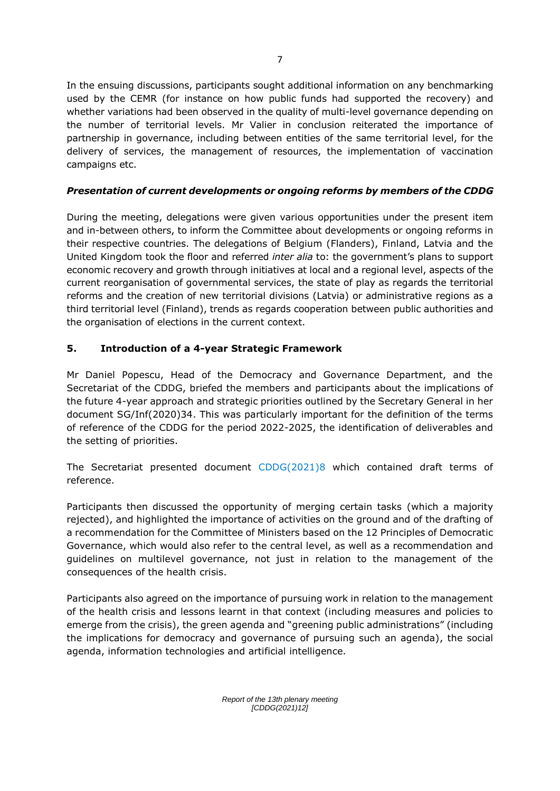In the ensuing discussions, participants sought additional information on any benchmarking used by the CEMR (for instance on how public funds had supported the recovery) and whether variations had been observed in the quality of multi-level governance depending on the number of territorial levels. Mr Valier in conclusion reiterated the importance of partnership in governance, including between entities of the same territorial level, for the delivery of services, the management of resources, the implementation of vaccination campaigns etc.

# *Presentation of current developments or ongoing reforms by members of the CDDG*

During the meeting, delegations were given various opportunities under the present item and in-between others, to inform the Committee about developments or ongoing reforms in their respective countries. The delegations of Belgium (Flanders), Finland, Latvia and the United Kingdom took the floor and referred *inter alia* to: the government's plans to support economic recovery and growth through initiatives at local and a regional level, aspects of the current reorganisation of governmental services, the state of play as regards the territorial reforms and the creation of new territorial divisions (Latvia) or administrative regions as a third territorial level (Finland), trends as regards cooperation between public authorities and the organisation of elections in the current context.

# **5. Introduction of a 4-year Strategic Framework**

Mr Daniel Popescu, Head of the Democracy and Governance Department, and the Secretariat of the CDDG, briefed the members and participants about the implications of the future 4-year approach and strategic priorities outlined by the Secretary General in her document SG/Inf(2020)34. This was particularly important for the definition of the terms of reference of the CDDG for the period 2022-2025, the identification of deliverables and the setting of priorities.

The Secretariat presented document [CDDG\(2021\)8](https://rm.coe.int/cddg-2021-8e-strategic-framework-2768-9558-2723-1/1680a207ae) which contained draft terms of reference.

Participants then discussed the opportunity of merging certain tasks (which a majority rejected), and highlighted the importance of activities on the ground and of the drafting of a recommendation for the Committee of Ministers based on the 12 Principles of Democratic Governance, which would also refer to the central level, as well as a recommendation and guidelines on multilevel governance, not just in relation to the management of the consequences of the health crisis.

Participants also agreed on the importance of pursuing work in relation to the management of the health crisis and lessons learnt in that context (including measures and policies to emerge from the crisis), the green agenda and "greening public administrations" (including the implications for democracy and governance of pursuing such an agenda), the social agenda, information technologies and artificial intelligence.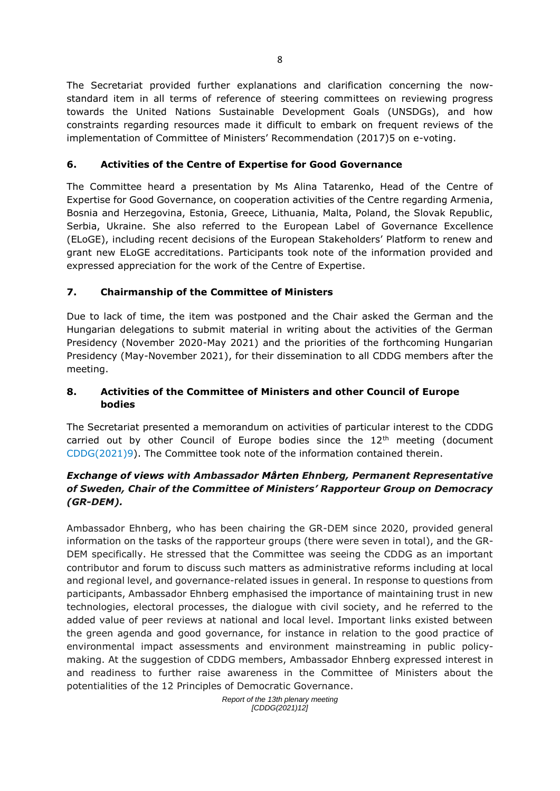The Secretariat provided further explanations and clarification concerning the nowstandard item in all terms of reference of steering committees on reviewing progress towards the United Nations Sustainable Development Goals (UNSDGs), and how constraints regarding resources made it difficult to embark on frequent reviews of the implementation of Committee of Ministers' Recommendation (2017)5 on e-voting.

# **6. Activities of the Centre of Expertise for Good Governance**

The Committee heard a presentation by Ms Alina Tatarenko, Head of the Centre of Expertise for Good Governance, on cooperation activities of the Centre regarding Armenia, Bosnia and Herzegovina, Estonia, Greece, Lithuania, Malta, Poland, the Slovak Republic, Serbia, Ukraine. She also referred to the European Label of Governance Excellence (ELoGE), including recent decisions of the European Stakeholders' Platform to renew and grant new ELoGE accreditations. Participants took note of the information provided and expressed appreciation for the work of the Centre of Expertise.

# **7. Chairmanship of the Committee of Ministers**

Due to lack of time, the item was postponed and the Chair asked the German and the Hungarian delegations to submit material in writing about the activities of the German Presidency (November 2020-May 2021) and the priorities of the forthcoming Hungarian Presidency (May-November 2021), for their dissemination to all CDDG members after the meeting.

# **8. Activities of the Committee of Ministers and other Council of Europe bodies**

The Secretariat presented a memorandum on activities of particular interest to the CDDG carried out by other Council of Europe bodies since the  $12<sup>th</sup>$  meeting (document [CDDG\(2021\)9\)](https://rm.coe.int/cddg-2021-9e-activities-of-other-coe-bodies-2765-2772-9411-1/1680a20a35). The Committee took note of the information contained therein.

# *Exchange of views with Ambassador Mårten Ehnberg, Permanent Representative of Sweden, Chair of the Committee of Ministers' Rapporteur Group on Democracy (GR-DEM).*

Ambassador Ehnberg, who has been chairing the GR-DEM since 2020, provided general information on the tasks of the rapporteur groups (there were seven in total), and the GR-DEM specifically. He stressed that the Committee was seeing the CDDG as an important contributor and forum to discuss such matters as administrative reforms including at local and regional level, and governance-related issues in general. In response to questions from participants, Ambassador Ehnberg emphasised the importance of maintaining trust in new technologies, electoral processes, the dialogue with civil society, and he referred to the added value of peer reviews at national and local level. Important links existed between the green agenda and good governance, for instance in relation to the good practice of environmental impact assessments and environment mainstreaming in public policymaking. At the suggestion of CDDG members, Ambassador Ehnberg expressed interest in and readiness to further raise awareness in the Committee of Ministers about the potentialities of the 12 Principles of Democratic Governance.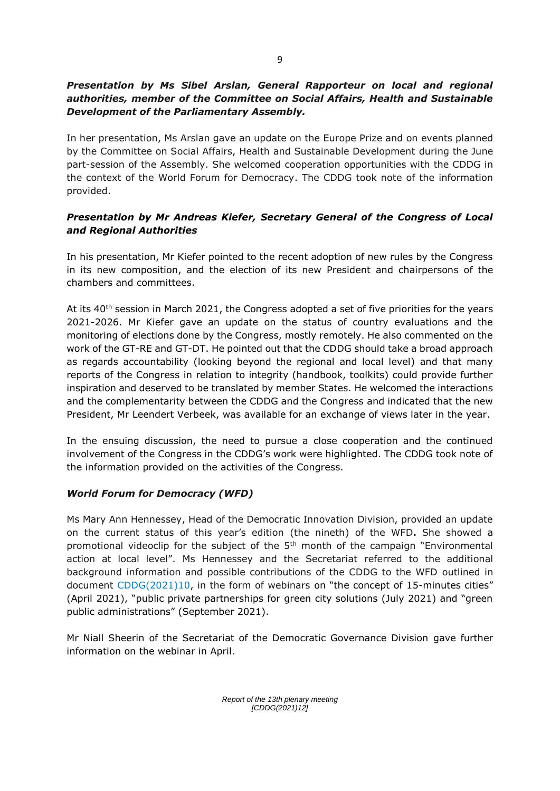# *Presentation by Ms Sibel Arslan, General Rapporteur on local and regional authorities, member of the Committee on Social Affairs, Health and Sustainable Development of the Parliamentary Assembly.*

In her presentation, Ms Arslan gave an update on the Europe Prize and on events planned by the Committee on Social Affairs, Health and Sustainable Development during the June part-session of the Assembly. She welcomed cooperation opportunities with the CDDG in the context of the World Forum for Democracy. The CDDG took note of the information provided.

# *Presentation by Mr Andreas Kiefer, Secretary General of the Congress of Local and Regional Authorities*

In his presentation, Mr Kiefer pointed to the recent adoption of new rules by the Congress in its new composition, and the election of its new President and chairpersons of the chambers and committees.

At its 40<sup>th</sup> session in March 2021, the Congress adopted a set of five priorities for the years 2021-2026. Mr Kiefer gave an update on the status of country evaluations and the monitoring of elections done by the Congress, mostly remotely. He also commented on the work of the GT-RE and GT-DT. He pointed out that the CDDG should take a broad approach as regards accountability (looking beyond the regional and local level) and that many reports of the Congress in relation to integrity (handbook, toolkits) could provide further inspiration and deserved to be translated by member States. He welcomed the interactions and the complementarity between the CDDG and the Congress and indicated that the new President, Mr Leendert Verbeek, was available for an exchange of views later in the year.

In the ensuing discussion, the need to pursue a close cooperation and the continued involvement of the Congress in the CDDG's work were highlighted. The CDDG took note of the information provided on the activities of the Congress.

# *World Forum for Democracy (WFD)*

Ms Mary Ann Hennessey, Head of the Democratic Innovation Division, provided an update on the current status of this year's edition (the nineth) of the WFD**.** She showed a promotional videoclip for the subject of the 5th month of the campaign "Environmental action at local level". Ms Hennessey and the Secretariat referred to the additional background information and possible contributions of the CDDG to the WFD outlined in document [CDDG\(2021\)10,](https://rm.coe.int/cddg-2021-10e-world-forum-for-democracy-2756-7202-3811-1/1680a20743) in the form of webinars on "the concept of 15-minutes cities" (April 2021), "public private partnerships for green city solutions (July 2021) and "green public administrations" (September 2021).

Mr Niall Sheerin of the Secretariat of the Democratic Governance Division gave further information on the webinar in April.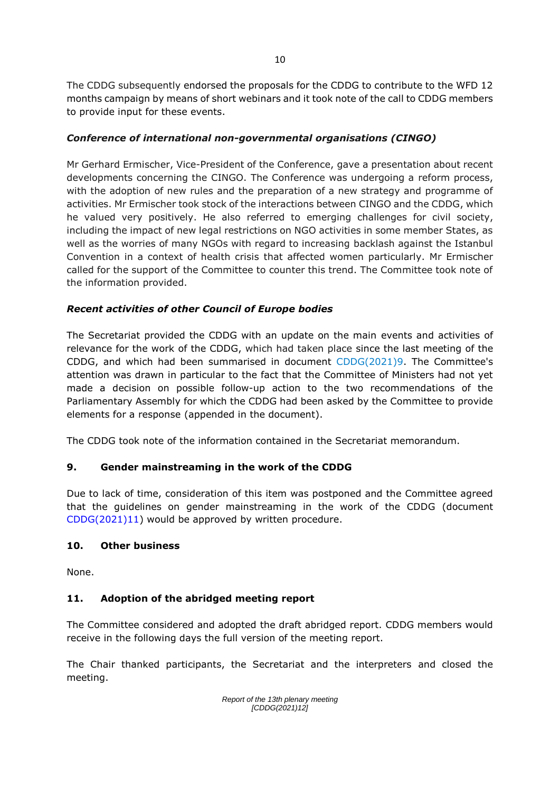The CDDG subsequently endorsed the proposals for the CDDG to contribute to the WFD 12 months campaign by means of short webinars and it took note of the call to CDDG members to provide input for these events.

# *Conference of international non-governmental organisations (CINGO)*

Mr Gerhard Ermischer, Vice-President of the Conference, gave a presentation about recent developments concerning the CINGO. The Conference was undergoing a reform process, with the adoption of new rules and the preparation of a new strategy and programme of activities. Mr Ermischer took stock of the interactions between CINGO and the CDDG, which he valued very positively. He also referred to emerging challenges for civil society, including the impact of new legal restrictions on NGO activities in some member States, as well as the worries of many NGOs with regard to increasing backlash against the Istanbul Convention in a context of health crisis that affected women particularly. Mr Ermischer called for the support of the Committee to counter this trend. The Committee took note of the information provided.

# *Recent activities of other Council of Europe bodies*

The Secretariat provided the CDDG with an update on the main events and activities of relevance for the work of the CDDG, which had taken place since the last meeting of the CDDG, and which had been summarised in document [CDDG\(2021\)9.](https://rm.coe.int/cddg-2021-9e-activities-of-other-coe-bodies-2765-2772-9411-1/1680a20a35) The Committee's attention was drawn in particular to the fact that the Committee of Ministers had not yet made a decision on possible follow-up action to the two recommendations of the Parliamentary Assembly for which the CDDG had been asked by the Committee to provide elements for a response (appended in the document).

The CDDG took note of the information contained in the Secretariat memorandum.

# **9. Gender mainstreaming in the work of the CDDG**

Due to lack of time, consideration of this item was postponed and the Committee agreed that the guidelines on gender mainstreaming in the work of the CDDG (document [CDDG\(2021\)11\)](https://rm.coe.int/cddg-2021-11e-gender-mainstreaming-2778-7691-8787-1/1680a207b1) would be approved by written procedure.

# **10. Other business**

None.

# **11. Adoption of the abridged meeting report**

The Committee considered and adopted the draft abridged report. CDDG members would receive in the following days the full version of the meeting report.

The Chair thanked participants, the Secretariat and the interpreters and closed the meeting.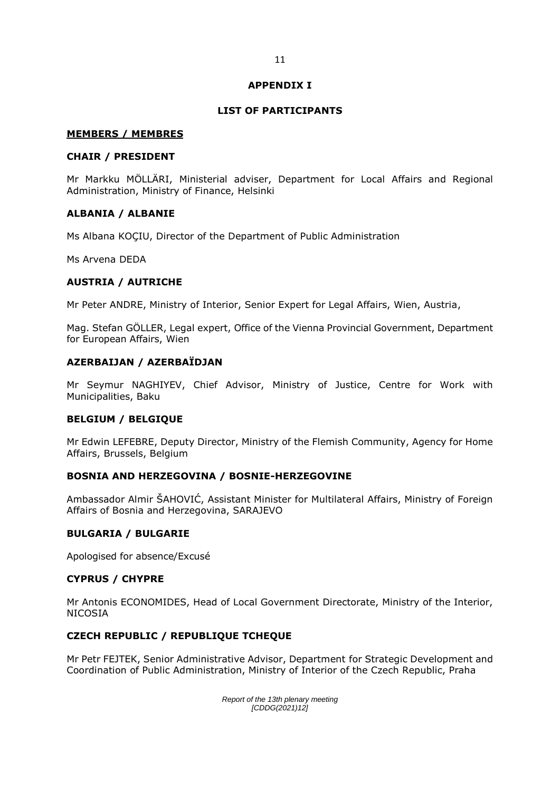#### **APPENDIX I**

## **LIST OF PARTICIPANTS**

#### **MEMBERS / MEMBRES**

### **CHAIR / PRESIDENT**

Mr Markku MÖLLÄRI, Ministerial adviser, Department for Local Affairs and Regional Administration, Ministry of Finance, Helsinki

## **ALBANIA / ALBANIE**

Ms Albana KOÇIU, Director of the Department of Public Administration

Ms Arvena DEDA

# **AUSTRIA / AUTRICHE**

Mr Peter ANDRE, Ministry of Interior, Senior Expert for Legal Affairs, Wien, Austria,

Mag. Stefan GÖLLER, Legal expert, Office of the Vienna Provincial Government, Department for European Affairs, Wien

## **AZERBAIJAN / AZERBAÏDJAN**

Mr Seymur NAGHIYEV, Chief Advisor, Ministry of Justice, Centre for Work with Municipalities, Baku

#### **BELGIUM / BELGIQUE**

Mr Edwin LEFEBRE, Deputy Director, Ministry of the Flemish Community, Agency for Home Affairs, Brussels, Belgium

#### **BOSNIA AND HERZEGOVINA / BOSNIE-HERZEGOVINE**

Ambassador Almir ŠAHOVIĆ, Assistant Minister for Multilateral Affairs, Ministry of Foreign Affairs of Bosnia and Herzegovina, SARAJEVO

#### **BULGARIA / BULGARIE**

Apologised for absence/Excusé

#### **CYPRUS / CHYPRE**

Mr Antonis ECONOMIDES, Head of Local Government Directorate, Ministry of the Interior, NICOSIA

#### **CZECH REPUBLIC / REPUBLIQUE TCHEQUE**

Mr Petr FEJTEK, Senior Administrative Advisor, Department for Strategic Development and Coordination of Public Administration, Ministry of Interior of the Czech Republic, Praha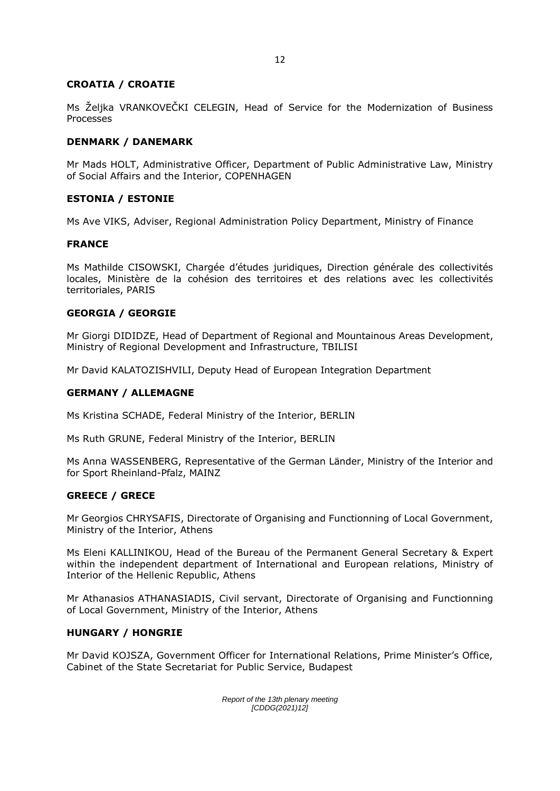## **CROATIA / CROATIE**

Ms Željka VRANKOVEČKI CELEGIN, Head of Service for the Modernization of Business Processes

## **DENMARK / DANEMARK**

Mr Mads HOLT, Administrative Officer, Department of Public Administrative Law, Ministry of Social Affairs and the Interior, COPENHAGEN

## **ESTONIA / ESTONIE**

Ms Ave VIKS, Adviser, Regional Administration Policy Department, Ministry of Finance

#### **FRANCE**

Ms Mathilde CISOWSKI, Chargée d'études juridiques, Direction générale des collectivités locales, Ministère de la cohésion des territoires et des relations avec les collectivités territoriales, PARIS

#### **GEORGIA / GEORGIE**

Mr Giorgi DIDIDZE, Head of Department of Regional and Mountainous Areas Development, Ministry of Regional Development and Infrastructure, TBILISI

Mr David KALATOZISHVILI, Deputy Head of European Integration Department

#### **GERMANY / ALLEMAGNE**

Ms Kristina SCHADE, Federal Ministry of the Interior, BERLIN

Ms Ruth GRUNE, Federal Ministry of the Interior, BERLIN

Ms Anna WASSENBERG, Representative of the German Länder, Ministry of the Interior and for Sport Rheinland-Pfalz, MAINZ

#### **GREECE / GRECE**

Mr Georgios CHRYSAFIS, Directorate of Organising and Functionning of Local Government, Ministry of the Interior, Athens

Ms Eleni KALLINIKOU, Head of the Bureau of the Permanent General Secretary & Expert within the independent department of International and European relations, Ministry of Interior of the Hellenic Republic, Athens

Mr Athanasios ATHANASIADIS, Civil servant, Directorate of Organising and Functionning of Local Government, Ministry of the Interior, Athens

#### **HUNGARY / HONGRIE**

Mr David KOJSZA, Government Officer for International Relations, Prime Minister's Office, Cabinet of the State Secretariat for Public Service, Budapest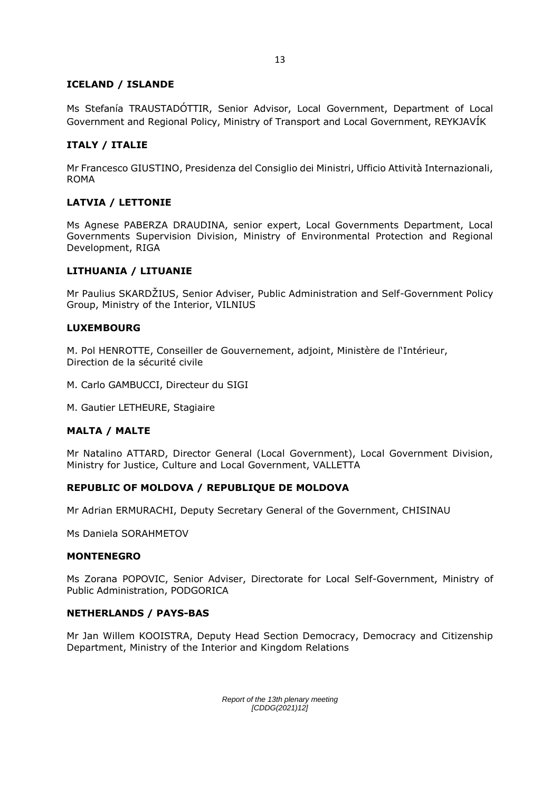# **ICELAND / ISLANDE**

Ms Stefanía TRAUSTADÓTTIR, Senior Advisor, Local Government, Department of Local Government and Regional Policy, Ministry of Transport and Local Government, REYKJAVÍK

## **ITALY / ITALIE**

Mr Francesco GIUSTINO, Presidenza del Consiglio dei Ministri, Ufficio Attività Internazionali, ROMA

## **LATVIA / LETTONIE**

Ms Agnese PABERZA DRAUDINA, senior expert, Local Governments Department, Local Governments Supervision Division, Ministry of Environmental Protection and Regional Development, RIGA

## **LITHUANIA / LITUANIE**

Mr Paulius SKARDŽIUS, Senior Adviser, Public Administration and Self-Government Policy Group, Ministry of the Interior, VILNIUS

#### **LUXEMBOURG**

M. Pol HENROTTE, Conseiller de Gouvernement, adjoint, Ministère de l'Intérieur, Direction de la sécurité civile

- M. Carlo GAMBUCCI, Directeur du SIGI
- M. Gautier LETHEURE, Stagiaire

#### **MALTA / MALTE**

Mr Natalino ATTARD, Director General (Local Government), Local Government Division, Ministry for Justice, Culture and Local Government, VALLETTA

#### **REPUBLIC OF MOLDOVA / REPUBLIQUE DE MOLDOVA**

Mr Adrian ERMURACHI, Deputy Secretary General of the Government, CHISINAU

Ms Daniela SORAHMETOV

#### **MONTENEGRO**

Ms Zorana POPOVIC, Senior Adviser, Directorate for Local Self-Government, Ministry of Public Administration, PODGORICA

#### **NETHERLANDS / PAYS-BAS**

Mr Jan Willem KOOISTRA, Deputy Head Section Democracy, Democracy and Citizenship Department, Ministry of the Interior and Kingdom Relations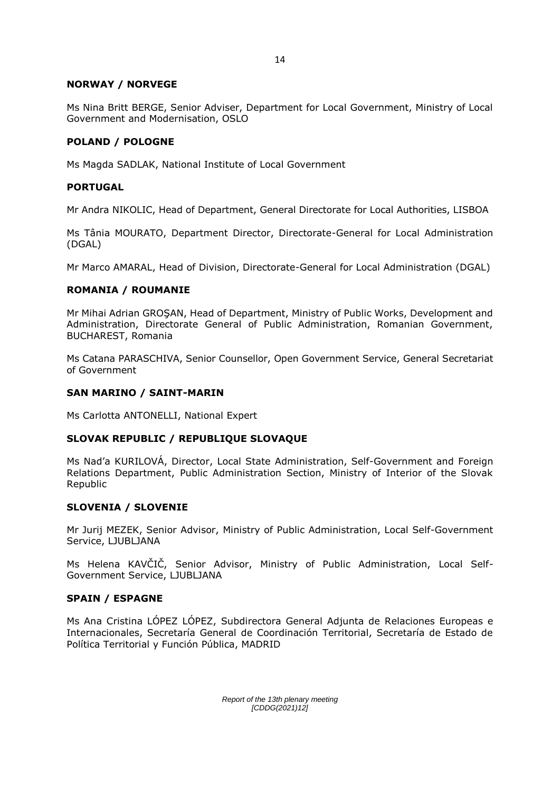## **NORWAY / NORVEGE**

Ms Nina Britt BERGE, Senior Adviser, Department for Local Government, Ministry of Local Government and Modernisation, OSLO

## **POLAND / POLOGNE**

Ms Magda SADLAK, National Institute of Local Government

## **PORTUGAL**

Mr Andra NIKOLIC, Head of Department, General Directorate for Local Authorities, LISBOA

Ms Tânia MOURATO, Department Director, Directorate-General for Local Administration (DGAL)

Mr Marco AMARAL, Head of Division, Directorate-General for Local Administration (DGAL)

## **ROMANIA / ROUMANIE**

Mr Mihai Adrian GROŞAN, Head of Department, Ministry of Public Works, Development and Administration, Directorate General of Public Administration, Romanian Government, BUCHAREST, Romania

Ms Catana PARASCHIVA, Senior Counsellor, Open Government Service, General Secretariat of Government

## **SAN MARINO / SAINT-MARIN**

Ms Carlotta ANTONELLI, National Expert

# **SLOVAK REPUBLIC / REPUBLIQUE SLOVAQUE**

Ms Nad'a KURILOVÁ, Director, Local State Administration, Self-Government and Foreign Relations Department, Public Administration Section, Ministry of Interior of the Slovak Republic

#### **SLOVENIA / SLOVENIE**

Mr Jurij MEZEK, Senior Advisor, Ministry of Public Administration, Local Self-Government Service, LJUBLJANA

Ms Helena KAVČIČ, Senior Advisor, Ministry of Public Administration, Local Self-Government Service, LJUBLJANA

#### **SPAIN / ESPAGNE**

Ms Ana Cristina LÓPEZ LÓPEZ, Subdirectora General Adjunta de Relaciones Europeas e Internacionales, Secretaría General de Coordinación Territorial, Secretaría de Estado de Política Territorial y Función Pública, MADRID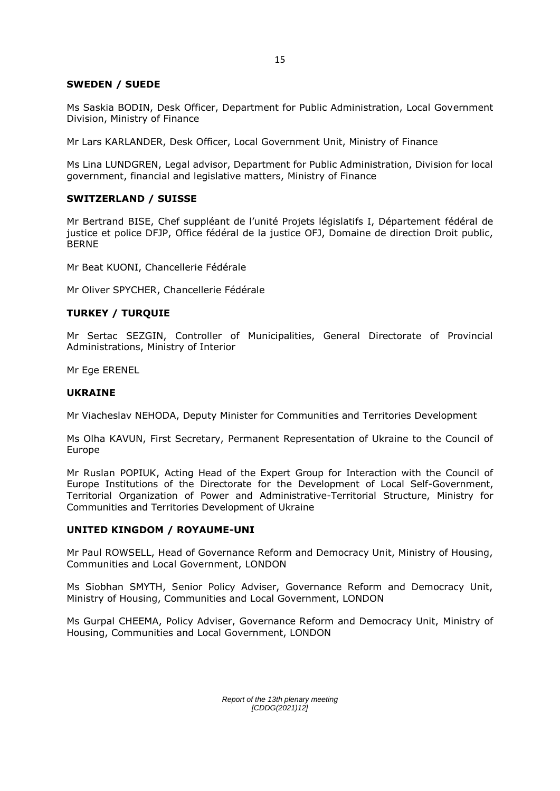## **SWEDEN / SUEDE**

Ms Saskia BODIN, Desk Officer, Department for Public Administration, Local Government Division, Ministry of Finance

Mr Lars KARLANDER, Desk Officer, Local Government Unit, Ministry of Finance

Ms Lina LUNDGREN, Legal advisor, Department for Public Administration, Division for local government, financial and legislative matters, Ministry of Finance

## **SWITZERLAND / SUISSE**

Mr Bertrand BISE, Chef suppléant de l'unité Projets législatifs I, Département fédéral de justice et police DFJP, Office fédéral de la justice OFJ, Domaine de direction Droit public, BERNE

Mr Beat KUONI, Chancellerie Fédérale

Mr Oliver SPYCHER, Chancellerie Fédérale

#### **TURKEY / TURQUIE**

Mr Sertac SEZGIN, Controller of Municipalities, General Directorate of Provincial Administrations, Ministry of Interior

Mr Ege ERENEL

#### **UKRAINE**

Mr Viacheslav NEHODA, Deputy Minister for Communities and Territories Development

Ms Olha KAVUN, First Secretary, Permanent Representation of Ukraine to the Council of Europe

Mr Ruslan POPIUK, Acting Head of the Expert Group for Interaction with the Council of Europe Institutions of the Directorate for the Development of Local Self-Government, Territorial Organization of Power and Administrative-Territorial Structure, Ministry for Communities and Territories Development of Ukraine

#### **UNITED KINGDOM / ROYAUME-UNI**

Mr Paul ROWSELL, Head of Governance Reform and Democracy Unit, Ministry of Housing, Communities and Local Government, LONDON

Ms Siobhan SMYTH, Senior Policy Adviser, Governance Reform and Democracy Unit, Ministry of Housing, Communities and Local Government, LONDON

Ms Gurpal CHEEMA, Policy Adviser, Governance Reform and Democracy Unit, Ministry of Housing, Communities and Local Government, LONDON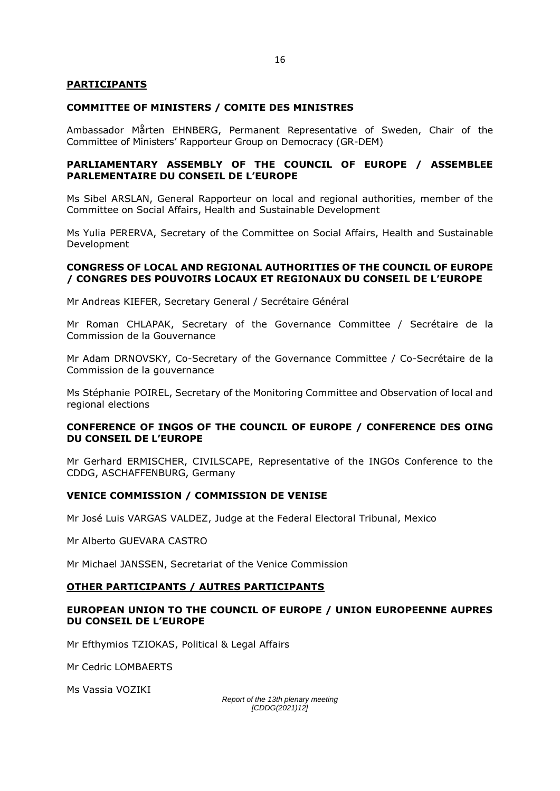#### **PARTICIPANTS**

#### **COMMITTEE OF MINISTERS / COMITE DES MINISTRES**

Ambassador Mårten EHNBERG, Permanent Representative of Sweden, Chair of the Committee of Ministers' Rapporteur Group on Democracy (GR-DEM)

#### **PARLIAMENTARY ASSEMBLY OF THE COUNCIL OF EUROPE / ASSEMBLEE PARLEMENTAIRE DU CONSEIL DE L'EUROPE**

Ms Sibel ARSLAN, General Rapporteur on local and regional authorities, member of the Committee on Social Affairs, Health and Sustainable Development

Ms Yulia PERERVA, Secretary of the Committee on Social Affairs, Health and Sustainable Development

#### **CONGRESS OF LOCAL AND REGIONAL AUTHORITIES OF THE COUNCIL OF EUROPE / CONGRES DES POUVOIRS LOCAUX ET REGIONAUX DU CONSEIL DE L'EUROPE**

Mr Andreas KIEFER, Secretary General / Secrétaire Général

Mr Roman CHLAPAK, Secretary of the Governance Committee / Secrétaire de la Commission de la Gouvernance

Mr Adam DRNOVSKY, Co-Secretary of the Governance Committee / Co-Secrétaire de la Commission de la gouvernance

Ms Stéphanie POIREL, Secretary of the Monitoring Committee and Observation of local and regional elections

#### **CONFERENCE OF INGOS OF THE COUNCIL OF EUROPE / CONFERENCE DES OING DU CONSEIL DE L'EUROPE**

Mr Gerhard ERMISCHER, CIVILSCAPE, Representative of the INGOs Conference to the CDDG, ASCHAFFENBURG, Germany

#### **VENICE COMMISSION / COMMISSION DE VENISE**

Mr José Luis VARGAS VALDEZ, Judge at the Federal Electoral Tribunal, Mexico

Mr Alberto GUEVARA CASTRO

Mr Michael JANSSEN, Secretariat of the Venice Commission

#### **OTHER PARTICIPANTS / AUTRES PARTICIPANTS**

#### **EUROPEAN UNION TO THE COUNCIL OF EUROPE / UNION EUROPEENNE AUPRES DU CONSEIL DE L'EUROPE**

Mr Efthymios TZIOKAS, Political & Legal Affairs

Mr Cedric LOMBAERTS

Ms Vassia VOZIKI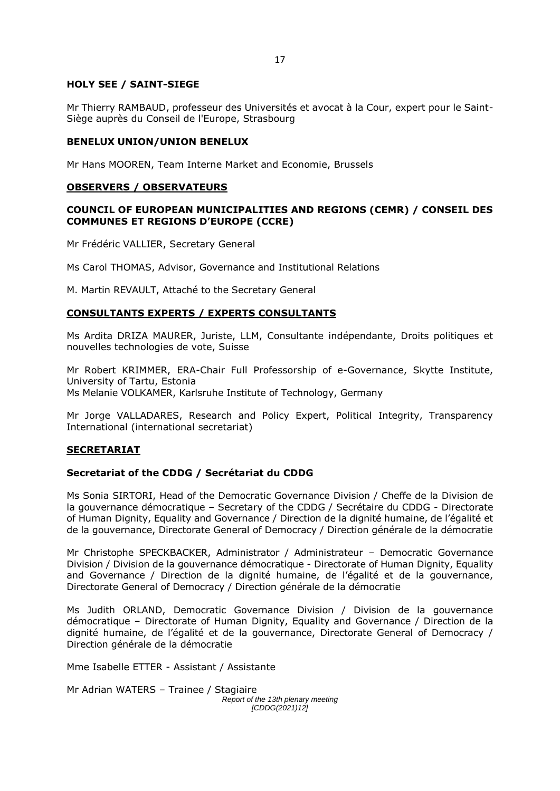### **HOLY SEE / SAINT-SIEGE**

Mr Thierry RAMBAUD, professeur des Universités et avocat à la Cour, expert pour le Saint-Siège auprès du Conseil de l'Europe, Strasbourg

### **BENELUX UNION/UNION BENELUX**

Mr Hans MOOREN, Team Interne Market and Economie, Brussels

### **OBSERVERS / OBSERVATEURS**

# **COUNCIL OF EUROPEAN MUNICIPALITIES AND REGIONS (CEMR) / CONSEIL DES COMMUNES ET REGIONS D'EUROPE (CCRE)**

Mr Frédéric VALLIER, Secretary General

Ms Carol THOMAS, Advisor, Governance and Institutional Relations

M. Martin REVAULT, Attaché to the Secretary General

## **CONSULTANTS EXPERTS / EXPERTS CONSULTANTS**

Ms Ardita DRIZA MAURER, Juriste, LLM, Consultante indépendante, Droits politiques et nouvelles technologies de vote, Suisse

Mr Robert KRIMMER, ERA-Chair Full Professorship of e-Governance, Skytte Institute, University of Tartu, Estonia Ms Melanie VOLKAMER, Karlsruhe Institute of Technology, Germany

Mr Jorge VALLADARES, Research and Policy Expert, Political Integrity, Transparency International (international secretariat)

# **SECRETARIAT**

# **Secretariat of the CDDG / Secrétariat du CDDG**

Ms Sonia SIRTORI, Head of the Democratic Governance Division / Cheffe de la Division de la gouvernance démocratique – Secretary of the CDDG / Secrétaire du CDDG - Directorate of Human Dignity, Equality and Governance / Direction de la dignité humaine, de l'égalité et de la gouvernance, Directorate General of Democracy / Direction générale de la démocratie

Mr Christophe SPECKBACKER, Administrator / Administrateur – Democratic Governance Division / Division de la gouvernance démocratique - Directorate of Human Dignity, Equality and Governance / Direction de la dignité humaine, de l'égalité et de la gouvernance, Directorate General of Democracy / Direction générale de la démocratie

Ms Judith ORLAND, Democratic Governance Division / Division de la gouvernance démocratique – Directorate of Human Dignity, Equality and Governance / Direction de la dignité humaine, de l'égalité et de la gouvernance, Directorate General of Democracy / Direction générale de la démocratie

Mme Isabelle ETTER - Assistant / Assistante

*Report of the 13th plenary meeting [CDDG(2021)12]* Mr Adrian WATERS – Trainee / Stagiaire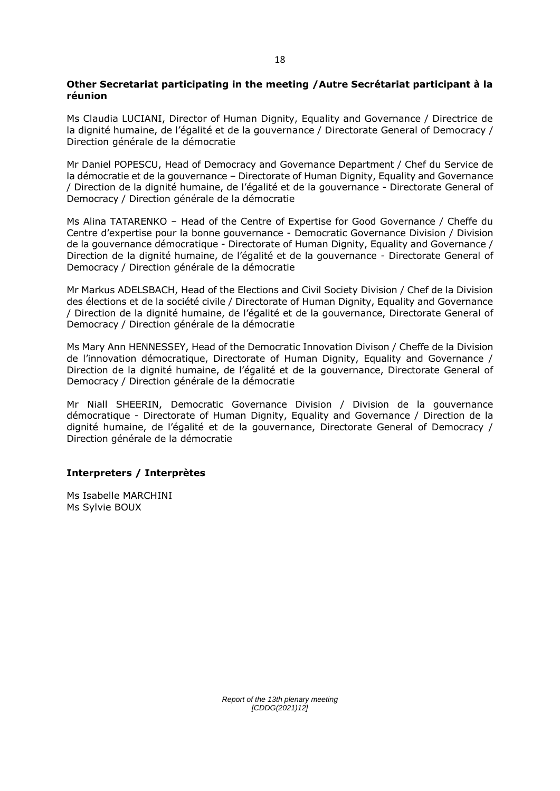#### **Other Secretariat participating in the meeting /Autre Secrétariat participant à la réunion**

Ms Claudia LUCIANI, Director of Human Dignity, Equality and Governance / Directrice de la dignité humaine, de l'égalité et de la gouvernance / Directorate General of Democracy / Direction générale de la démocratie

Mr Daniel POPESCU, Head of Democracy and Governance Department / Chef du Service de la démocratie et de la gouvernance – Directorate of Human Dignity, Equality and Governance / Direction de la dignité humaine, de l'égalité et de la gouvernance - Directorate General of Democracy / Direction générale de la démocratie

Ms Alina TATARENKO – Head of the Centre of Expertise for Good Governance / Cheffe du Centre d'expertise pour la bonne gouvernance - Democratic Governance Division / Division de la gouvernance démocratique - Directorate of Human Dignity, Equality and Governance / Direction de la dignité humaine, de l'égalité et de la gouvernance - Directorate General of Democracy / Direction générale de la démocratie

Mr Markus ADELSBACH, Head of the Elections and Civil Society Division / Chef de la Division des élections et de la société civile / Directorate of Human Dignity, Equality and Governance / Direction de la dignité humaine, de l'égalité et de la gouvernance, Directorate General of Democracy / Direction générale de la démocratie

Ms Mary Ann HENNESSEY, Head of the Democratic Innovation Divison / Cheffe de la Division de l'innovation démocratique, Directorate of Human Dignity, Equality and Governance / Direction de la dignité humaine, de l'égalité et de la gouvernance, Directorate General of Democracy / Direction générale de la démocratie

Mr Niall SHEERIN, Democratic Governance Division / Division de la gouvernance démocratique - Directorate of Human Dignity, Equality and Governance / Direction de la dignité humaine, de l'égalité et de la gouvernance, Directorate General of Democracy / Direction générale de la démocratie

# **Interpreters / Interprètes**

Ms Isabelle MARCHINI Ms Sylvie BOUX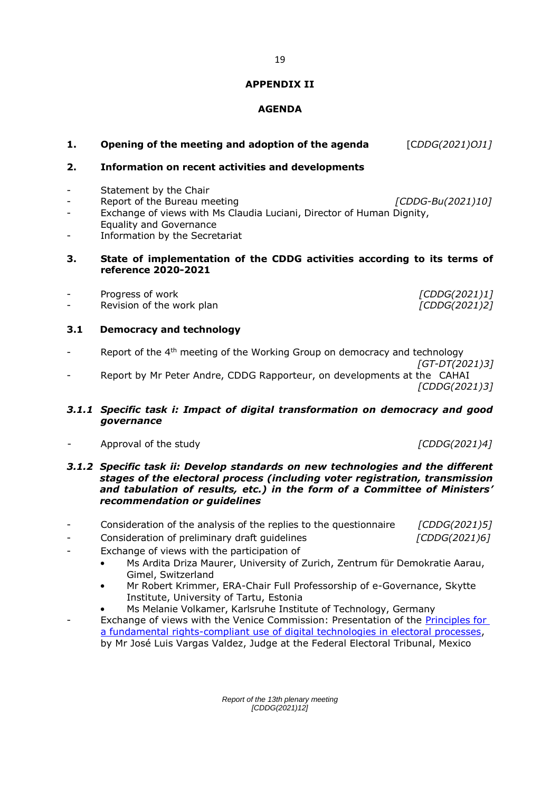#### **APPENDIX II**

# **AGENDA**

| 1.                                 | Opening of the meeting and adoption of the agenda                                                                                                                                                   | [CDDG(2021)OJ1]                |
|------------------------------------|-----------------------------------------------------------------------------------------------------------------------------------------------------------------------------------------------------|--------------------------------|
| 2.                                 | <b>Information on recent activities and developments</b>                                                                                                                                            |                                |
| $\overline{\phantom{a}}$<br>$\sim$ | Statement by the Chair<br>Report of the Bureau meeting<br>Exchange of views with Ms Claudia Luciani, Director of Human Dignity,<br><b>Equality and Governance</b><br>Information by the Secretariat | [CDDG-Bu(2021)10]              |
| З.                                 | State of implementation of the CDDG activities according to its terms of<br>reference 2020-2021                                                                                                     |                                |
|                                    | Progress of work<br>Revision of the work plan                                                                                                                                                       | [CDDG(2021)1]<br>[CDDG(2021)2] |

## **3.1 Democracy and technology**

Report of the 4<sup>th</sup> meeting of the Working Group on democracy and technology  *[GT-DT(2021)3]*  - Report by Mr Peter Andre, CDDG Rapporteur, on developments at the CAHAI

## *3.1.1 Specific task i: Impact of digital transformation on democracy and good governance*

- Approval of the study *[CDDG(2021)4]*

### *3.1.2 Specific task ii: Develop standards on new technologies and the different stages of the electoral process (including voter registration, transmission and tabulation of results, etc.) in the form of a Committee of Ministers' recommendation or guidelines*

- Consideration of the analysis of the replies to the questionnaire *[CDDG(2021)5]*
	- Consideration of preliminary draft guidelines *[CDDG(2021)6]*
- Exchange of views with the participation of
	- Ms Ardita Driza Maurer, University of Zurich, Zentrum für Demokratie Aarau, Gimel, Switzerland
	- Mr Robert Krimmer, ERA-Chair Full Professorship of e-Governance, Skytte Institute, University of Tartu, Estonia
	- Ms Melanie Volkamer, Karlsruhe Institute of Technology, Germany Exchange of views with the Venice Commission: Presentation of the Principles for

[a fundamental rights-compliant use of digital technologies in electoral processes,](https://www.venice.coe.int/webforms/documents/?pdf=CDL-AD(2020)037-e) by Mr José Luis Vargas Valdez, Judge at the Federal Electoral Tribunal, Mexico

> *Report of the 13th plenary meeting [CDDG(2021)12]*

*[CDDG(2021)3]*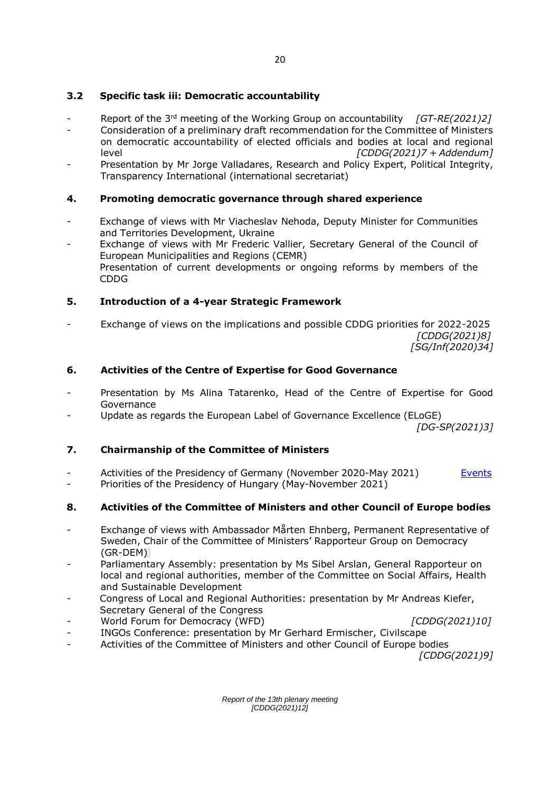# **3.2 Specific task iii: Democratic accountability**

- Report of the 3<sup>rd</sup> meeting of the Working Group on accountability *[GT-RE(2021)2]* - Consideration of a preliminary draft recommendation for the Committee of Ministers on democratic accountability of elected officials and bodies at local and regional level *[CDDG(2021)7 + Addendum]*
- Presentation by Mr Jorge Valladares, Research and Policy Expert, Political Integrity, Transparency International (international secretariat)

# **4. Promoting democratic governance through shared experience**

- Exchange of views with Mr Viacheslav Nehoda, Deputy Minister for Communities and Territories Development, Ukraine
- Exchange of views with Mr Frederic Vallier, Secretary General of the Council of European Municipalities and Regions (CEMR) Presentation of current developments or ongoing reforms by members of the CDDG

## **5. Introduction of a 4-year Strategic Framework**

- Exchange of views on the implications and possible CDDG priorities for 2022-2025 *[CDDG(2021)8] [SG/Inf(2020)34]*

## **6. Activities of the Centre of Expertise for Good Governance**

- Presentation by Ms Alina Tatarenko, Head of the Centre of Expertise for Good Governance
- Update as regards the European Label of Governance Excellence (ELoGE)

*[DG-SP(2021)3]*

#### **7. Chairmanship of the Committee of Ministers**

- Activities of the Presidency of Germany (November 2020-May 2021) Events
- Priorities of the Presidency of Hungary (May-November 2021)

# **8. Activities of the Committee of Ministers and other Council of Europe bodies**

- Exchange of views with Ambassador Mårten Ehnberg, Permanent Representative of Sweden, Chair of the Committee of Ministers' Rapporteur Group on Democracy (GR-DEM)
- Parliamentary Assembly: presentation by Ms Sibel Arslan, General Rapporteur on local and regional authorities, member of the Committee on Social Affairs, Health and Sustainable Development
- Congress of Local and Regional Authorities: presentation by Mr Andreas Kiefer, Secretary General of the Congress
- World Forum for Democracy (WFD) *[CDDG(2021)10]*

- INGOs Conference: presentation by Mr Gerhard Ermischer, Civilscape
- Activities of the Committee of Ministers and other Council of Europe bodies

*[CDDG(2021)9]*